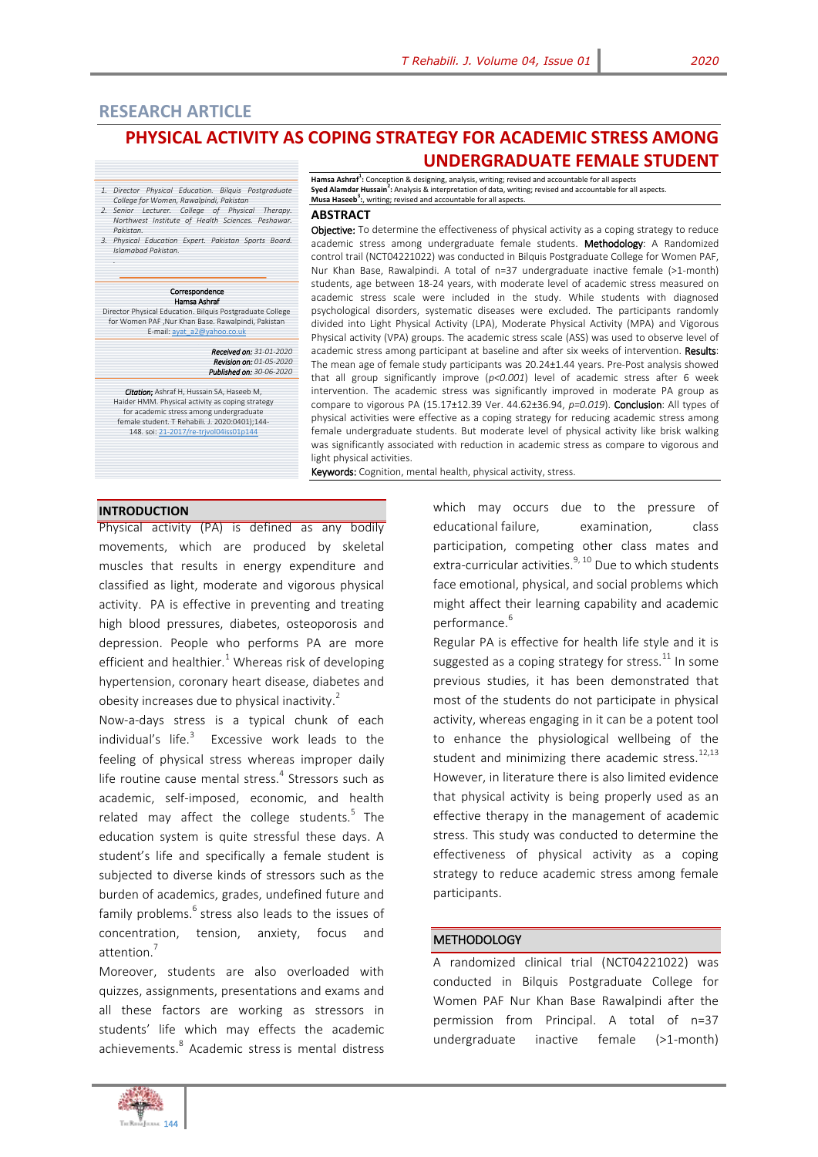Hamsa Ashraf<sup>1</sup>: Conception & designing, analysis, writing; revised and accountable for all aspects<br>Syed Alamdar Hussain<sup>2</sup>: Analysis & interpretation of data, writing; revised and accountable for all aspects.

# **RESEARCH ARTICLE**

# **PHYSICAL ACTIVITY AS COPING STRATEGY FOR ACADEMIC STRESS AMONG UNDERGRADUATE FEMALE STUDENT**

- *1. Director Physical Education. Bilquis Postgraduate College for Women, Rawalpindi, Pakistan 2. Senior Lecturer. College of Physical Therapy.*
- *Northwest Institute of Health Sciences. Peshawar. Pakistan.*
- *3. Physical Education Expert. Pakistan Sports Board. Islamabad Pakistan.*

#### Correspondence Hamsa Ashraf

Director Physical Education. Bilquis Postgraduate College for Women PAF ,Nur Khan Base. Rawalpindi, Pakistan E-mail: ayat\_a2@yaho 

*Received on: 31-01-2020 Revision on: 01-05-2020 Published on: 30-06-2020*

*Citation*; Ashraf H, Hussain SA, Haseeb M, Haider HMM. Physical activity as coping strategy for academic stress among undergraduate female student. T Rehabili. J. 2020:0401);144- 148. soi[: 21-2017/re-trjvol04iss01p144](http://trjournal.org/index.php/TRJ/article/view/10)

**Musa Haseeb<sup>3</sup> :**, writing; revised and accountable for all aspects. **ABSTRACT** Objective: To determine the effectiveness of physical activity as a coping strategy to reduce academic stress among undergraduate female students. Methodology: A Randomized control trail (NCT04221022) was conducted in Bilquis Postgraduate College for Women PAF, Nur Khan Base, Rawalpindi. A total of n=37 undergraduate inactive female (>1-month) students, age between 18-24 years, with moderate level of academic stress measured on academic stress scale were included in the study. While students with diagnosed psychological disorders, systematic diseases were excluded. The participants randomly

divided into Light Physical Activity (LPA), Moderate Physical Activity (MPA) and Vigorous Physical activity (VPA) groups. The academic stress scale (ASS) was used to observe level of academic stress among participant at baseline and after six weeks of intervention. Results: The mean age of female study participants was 20.24±1.44 years. Pre-Post analysis showed that all group significantly improve (*p<0.001*) level of academic stress after 6 week intervention. The academic stress was significantly improved in moderate PA group as compare to vigorous PA (15.17±12.39 Ver. 44.62±36.94, *p=0.019*). Conclusion: All types of physical activities were effective as a coping strategy for reducing academic stress among female undergraduate students. But moderate level of physical activity like brisk walking was significantly associated with reduction in academic stress as compare to vigorous and light physical activities.

Keywords: Cognition, mental health, physical activity, stress.

# **INTRODUCTION**

*.*

Physical activity (PA) is defined as any bodily movements, which are produced by skeletal muscles that results in energy expenditure and classified as light, moderate and vigorous physical activity. PA is effective in preventing and treating high blood pressures, diabetes, osteoporosis and depression. People who performs PA are more efficient and healthier. $1$  Whereas risk of developing hypertension, coronary heart disease, diabetes and obesity increases due to physical inactivity.<sup>2</sup>

Now-a-days stress is a typical chunk of each individual's life. $3$  Excessive work leads to the feeling of physical stress whereas improper daily life routine cause mental stress.<sup>4</sup> Stressors such as academic, self-imposed, economic, and health related may affect the college students.<sup>5</sup> The education system is quite stressful these days. A student's life and specifically a female student is subjected to diverse kinds of stressors such as the burden of academics, grades, undefined future and family problems.<sup>6</sup> stress also leads to the issues of concentration, tension, anxiety, focus and attention.<sup>7</sup>

Moreover, students are also overloaded with quizzes, assignments, presentations and exams and all these factors are working as stressors in students' life which may effects the academic achievements.<sup>8</sup> Academic stress is mental distress which may occurs due to the pressure of educational failure, examination, class participation, competing other class mates and extra-curricular activities. $9,10$  Due to which students face emotional, physical, and social problems which might affect their learning capability and academic performance.<sup>6</sup>

Regular PA is effective for health life style and it is suggested as a coping strategy for stress. $^{11}$  In some previous studies, it has been demonstrated that most of the students do not participate in physical activity, whereas engaging in it can be a potent tool to enhance the physiological wellbeing of the student and minimizing there academic stress. $^{12,13}$ However, in literature there is also limited evidence that physical activity is being properly used as an effective therapy in the management of academic stress. This study was conducted to determine the effectiveness of physical activity as a coping strategy to reduce academic stress among female participants.

### **METHODOLOGY**

A randomized clinical trial (NCT04221022) was conducted in Bilquis Postgraduate College for Women PAF Nur Khan Base Rawalpindi after the permission from Principal. A total of n=37 undergraduate inactive female (>1-month)

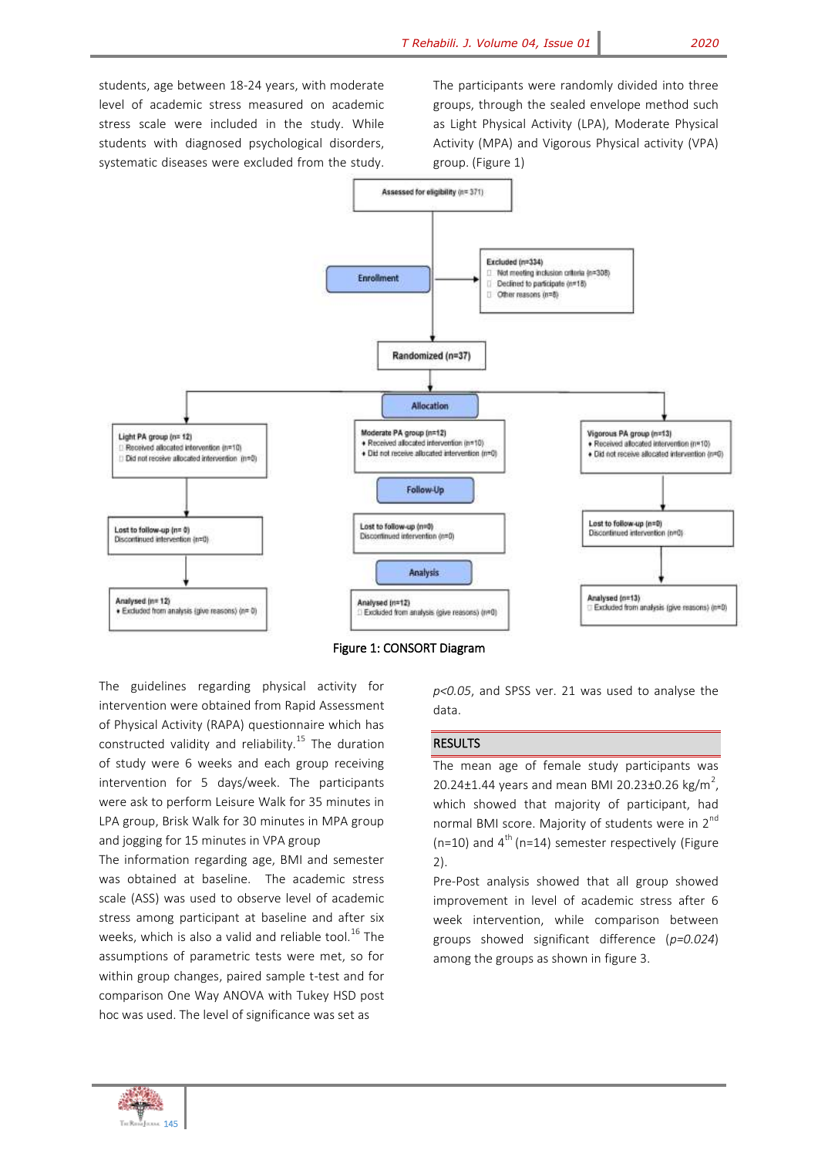students, age between 18-24 years, with moderate level of academic stress measured on academic stress scale were included in the study. While students with diagnosed psychological disorders, systematic diseases were excluded from the study.

The participants were randomly divided into three groups, through the sealed envelope method such as Light Physical Activity (LPA), Moderate Physical Activity (MPA) and Vigorous Physical activity (VPA) group. (Figure 1)





The guidelines regarding physical activity for intervention were obtained from Rapid Assessment of Physical Activity (RAPA) questionnaire which has constructed validity and reliability.<sup>15</sup> The duration of study were 6 weeks and each group receiving intervention for 5 days/week. The participants were ask to perform Leisure Walk for 35 minutes in LPA group, Brisk Walk for 30 minutes in MPA group and jogging for 15 minutes in VPA group

The information regarding age, BMI and semester was obtained at baseline. The academic stress scale (ASS) was used to observe level of academic stress among participant at baseline and after six weeks, which is also a valid and reliable tool.<sup>16</sup> The assumptions of parametric tests were met, so for within group changes, paired sample t-test and for comparison One Way ANOVA with Tukey HSD post hoc was used. The level of significance was set as

*p<0.05*, and SPSS ver. 21 was used to analyse the data.

# RESULTS

The mean age of female study participants was 20.24 $\pm$ 1.44 years and mean BMI 20.23 $\pm$ 0.26 kg/m<sup>2</sup>, which showed that majority of participant, had normal BMI score. Majority of students were in 2<sup>nd</sup>  $(n=10)$  and  $4<sup>th</sup>$  (n=14) semester respectively (Figure 2).

Pre-Post analysis showed that all group showed improvement in level of academic stress after 6 week intervention, while comparison between groups showed significant difference (*p=0.024*) among the groups as shown in figure 3.

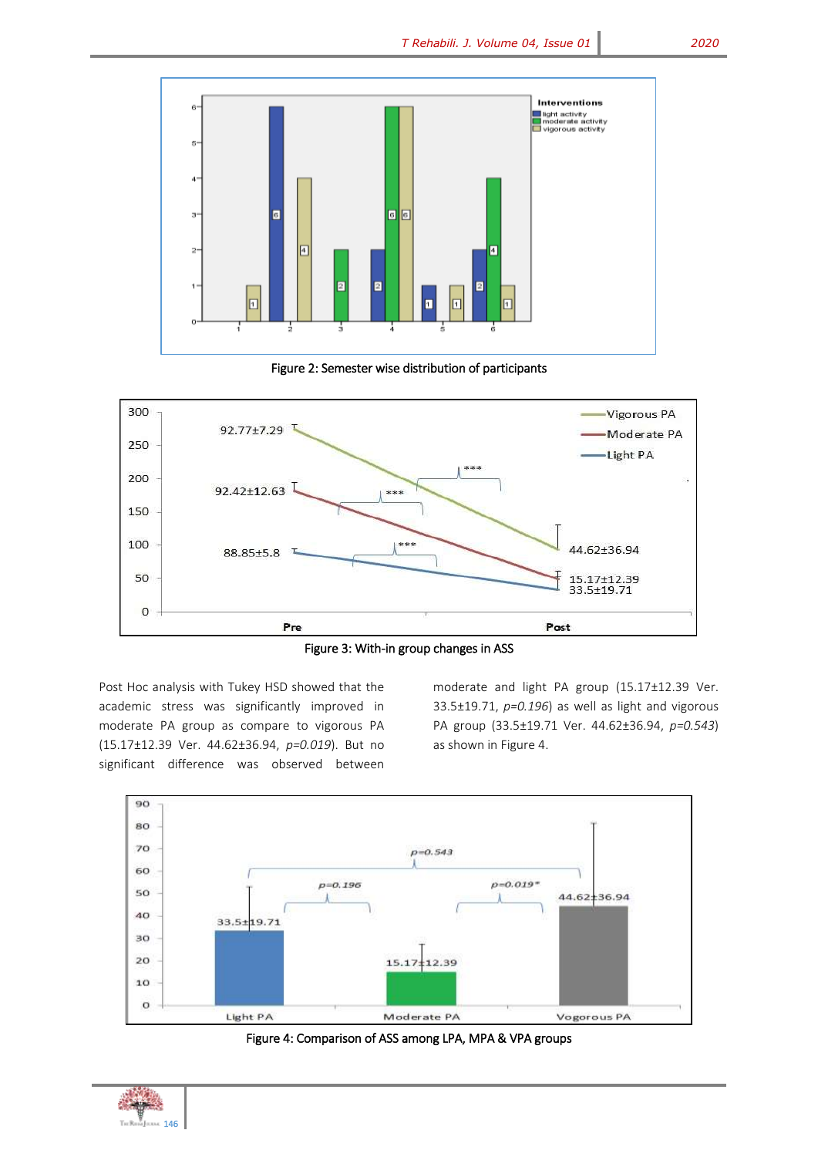

Figure 2: Semester wise distribution of participants



Figure 3: With-in group changes in ASS

Post Hoc analysis with Tukey HSD showed that the academic stress was significantly improved in moderate PA group as compare to vigorous PA (15.17±12.39 Ver. 44.62±36.94, *p=0.019*). But no significant difference was observed between

moderate and light PA group (15.17±12.39 Ver. 33.5±19.71, *p=0.196*) as well as light and vigorous PA group (33.5±19.71 Ver. 44.62±36.94, *p=0.543*) as shown in Figure 4.





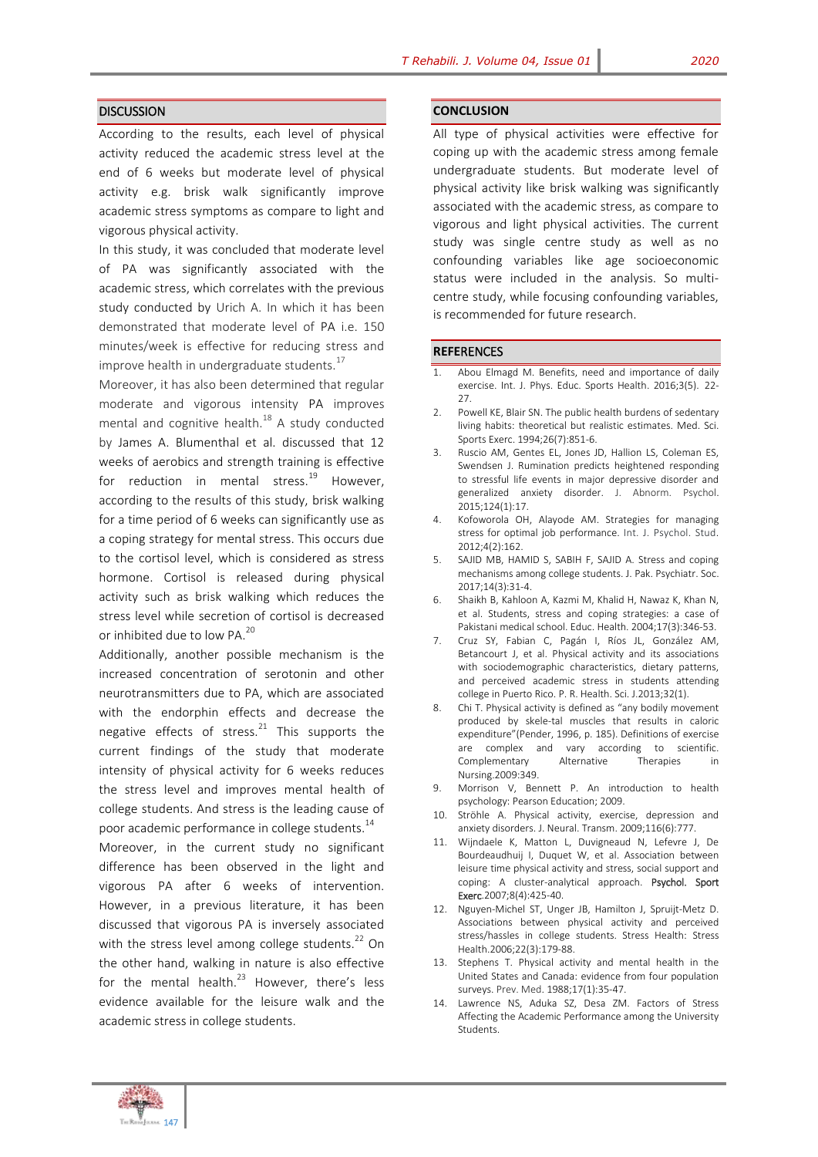### **DISCUSSION**

According to the results, each level of physical activity reduced the academic stress level at the end of 6 weeks but moderate level of physical activity e.g. brisk walk significantly improve academic stress symptoms as compare to light and vigorous physical activity.

In this study, it was concluded that moderate level of PA was significantly associated with the academic stress, which correlates with the previous study conducted by Urich A. In which it has been demonstrated that moderate level of PA i.e. 150 minutes/week is effective for reducing stress and improve health in undergraduate students.<sup>17</sup>

Moreover, it has also been determined that regular moderate and vigorous intensity PA improves mental and cognitive health.<sup>18</sup> A study conducted by James A. Blumenthal et al. discussed that 12 weeks of aerobics and strength training is effective for reduction in mental stress. $^{19}$  However, according to the results of this study, brisk walking for a time period of 6 weeks can significantly use as a coping strategy for mental stress. This occurs due to the cortisol level, which is considered as stress hormone. Cortisol is released during physical activity such as brisk walking which reduces the stress level while secretion of cortisol is decreased or inhibited due to low PA.<sup>20</sup>

Additionally, another possible mechanism is the increased concentration of serotonin and other neurotransmitters due to PA, which are associated with the endorphin effects and decrease the negative effects of stress.<sup>21</sup> This supports the current findings of the study that moderate intensity of physical activity for 6 weeks reduces the stress level and improves mental health of college students. And stress is the leading cause of poor academic performance in college students.<sup>14</sup>

Moreover, in the current study no significant difference has been observed in the light and vigorous PA after 6 weeks of intervention. However, in a previous literature, it has been discussed that vigorous PA is inversely associated with the stress level among college students. $^{22}$  On the other hand, walking in nature is also effective for the mental health. $^{23}$  However, there's less evidence available for the leisure walk and the academic stress in college students.

#### **CONCLUSION**

All type of physical activities were effective for coping up with the academic stress among female undergraduate students. But moderate level of physical activity like brisk walking was significantly associated with the academic stress, as compare to vigorous and light physical activities. The current study was single centre study as well as no confounding variables like age socioeconomic status were included in the analysis. So multicentre study, while focusing confounding variables, is recommended for future research.

#### **REFE**RENCES

- 1. Abou Elmagd M. Benefits, need and importance of daily exercise. Int. J. Phys. Educ. Sports Health. 2016;3(5). 22- 27.
- 2. Powell KE, Blair SN. The public health burdens of sedentary living habits: theoretical but realistic estimates. Med. Sci. Sports Exerc. 1994;26(7):851-6.
- 3. Ruscio AM, Gentes EL, Jones JD, Hallion LS, Coleman ES, Swendsen J. Rumination predicts heightened responding to stressful life events in major depressive disorder and generalized anxiety disorder. J. Abnorm. Psychol. 2015;124(1):17.
- 4. Kofoworola OH, Alayode AM. Strategies for managing stress for optimal job performance. Int. J. Psychol. Stud. 2012;4(2):162.
- 5. SAJID MB, HAMID S, SABIH F, SAJID A. Stress and coping mechanisms among college students. J. Pak. Psychiatr. Soc. 2017;14(3):31-4.
- 6. Shaikh B, Kahloon A, Kazmi M, Khalid H, Nawaz K, Khan N, et al. Students, stress and coping strategies: a case of Pakistani medical school. Educ. Health. 2004;17(3):346-53.
- 7. Cruz SY, Fabian C, Pagán I, Ríos JL, González AM, Betancourt J, et al. Physical activity and its associations with sociodemographic characteristics, dietary patterns, and perceived academic stress in students attending college in Puerto Rico. P. R. Health. Sci. J.2013;32(1).
- 8. Chi T. Physical activity is defined as "any bodily movement produced by skele-tal muscles that results in caloric expenditure"(Pender, 1996, p. 185). Definitions of exercise are complex and vary according to scientific. Complementary Alternative Therapies in Nursing.2009:349.
- 9. Morrison V, Bennett P. An introduction to health psychology: Pearson Education; 2009.
- 10. Ströhle A. Physical activity, exercise, depression and anxiety disorders. J. Neural. Transm. 2009;116(6):777.
- 11. Wijndaele K, Matton L, Duvigneaud N, Lefevre J, De Bourdeaudhuij I, Duquet W, et al. Association between leisure time physical activity and stress, social support and coping: A cluster-analytical approach. Psychol. Sport Exerc.2007;8(4):425-40.
- 12. Nguyen‐Michel ST, Unger JB, Hamilton J, Spruijt‐Metz D. Associations between physical activity and perceived stress/hassles in college students. Stress Health: Stress Health.2006;22(3):179-88.
- 13. Stephens T. Physical activity and mental health in the United States and Canada: evidence from four population surveys. Prev. Med. 1988;17(1):35-47.
- 14. Lawrence NS, Aduka SZ, Desa ZM. Factors of Stress Affecting the Academic Performance among the University Students.